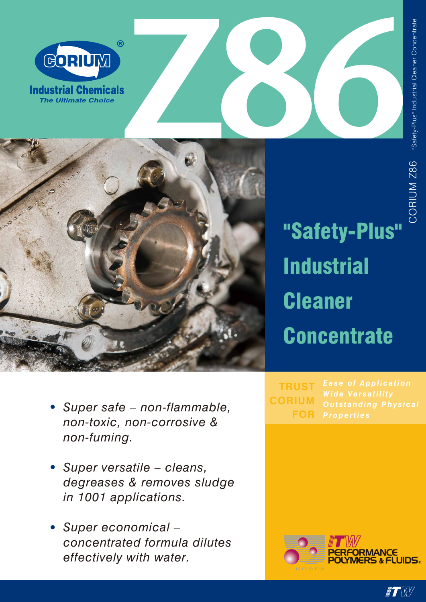



"Safety-Plus" **Industrial Cleaner Concentrate** 

*Properties* **FOR TRUST CORIUM**

*non-toxic, non-corrosive & non-fuming.*

*• Super safe – non-flammable,* 

- *• Super versatile cleans, degreases & removes sludge in 1001 applications.*
- *• Super economical concentrated formula dilutes effectively with water.*